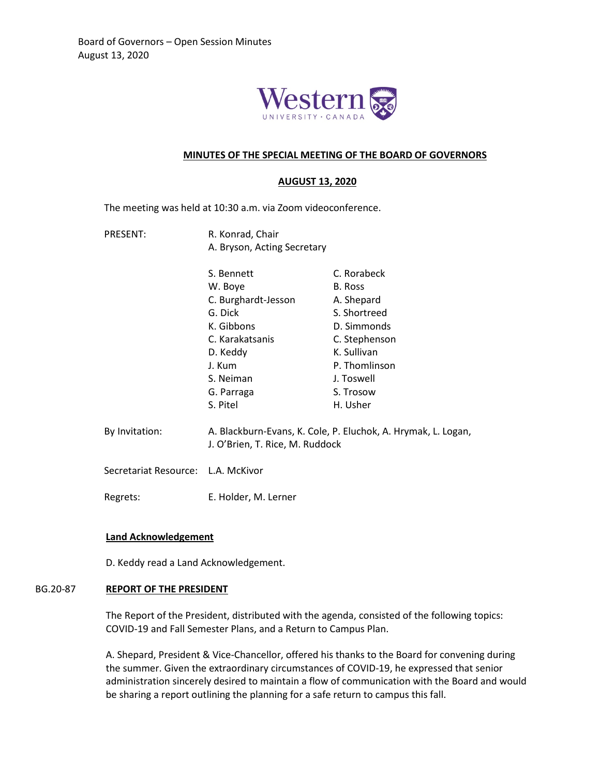

## **MINUTES OF THE SPECIAL MEETING OF THE BOARD OF GOVERNORS**

### **AUGUST 13, 2020**

The meeting was held at 10:30 a.m. via Zoom videoconference.

- PRESENT: R. Konrad, Chair A. Bryson, Acting Secretary
	- S. Bennett W. Boye C. Burghardt-Jesson G. Dick K. Gibbons C. Karakatsanis D. Keddy J. Kum S. Neiman G. Parraga S. Pitel C. Rorabeck B. Ross A. Shepard S. Shortreed D. Simmonds C. Stephenson K. Sullivan P. Thomlinson J. Toswell S. Trosow H. Usher
- By Invitation: A. Blackburn-Evans, K. Cole, P. Eluchok, A. Hrymak, L. Logan, J. O'Brien, T. Rice, M. Ruddock

Secretariat Resource: L.A. McKivor

Regrets: E. Holder, M. Lerner

## **Land Acknowledgement**

D. Keddy read a Land Acknowledgement.

#### BG.20-87 **REPORT OF THE PRESIDENT**

The Report of the President, distributed with the agenda, consisted of the following topics: COVID-19 and Fall Semester Plans, and a Return to Campus Plan.

A. Shepard, President & Vice-Chancellor, offered his thanks to the Board for convening during the summer. Given the extraordinary circumstances of COVID-19, he expressed that senior administration sincerely desired to maintain a flow of communication with the Board and would be sharing a report outlining the planning for a safe return to campus this fall.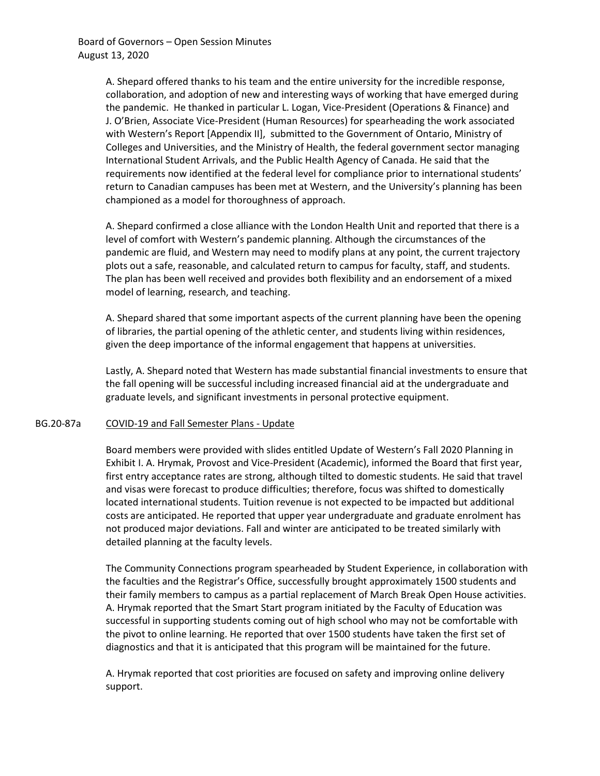A. Shepard offered thanks to his team and the entire university for the incredible response, collaboration, and adoption of new and interesting ways of working that have emerged during the pandemic. He thanked in particular L. Logan, Vice-President (Operations & Finance) and J. O'Brien, Associate Vice-President (Human Resources) for spearheading the work associated with Western's Report [Appendix II], submitted to the Government of Ontario, Ministry of Colleges and Universities, and the Ministry of Health, the federal government sector managing International Student Arrivals, and the Public Health Agency of Canada. He said that the requirements now identified at the federal level for compliance prior to international students' return to Canadian campuses has been met at Western, and the University's planning has been championed as a model for thoroughness of approach.

A. Shepard confirmed a close alliance with the London Health Unit and reported that there is a level of comfort with Western's pandemic planning. Although the circumstances of the pandemic are fluid, and Western may need to modify plans at any point, the current trajectory plots out a safe, reasonable, and calculated return to campus for faculty, staff, and students. The plan has been well received and provides both flexibility and an endorsement of a mixed model of learning, research, and teaching.

A. Shepard shared that some important aspects of the current planning have been the opening of libraries, the partial opening of the athletic center, and students living within residences, given the deep importance of the informal engagement that happens at universities.

Lastly, A. Shepard noted that Western has made substantial financial investments to ensure that the fall opening will be successful including increased financial aid at the undergraduate and graduate levels, and significant investments in personal protective equipment.

# BG.20-87a COVID-19 and Fall Semester Plans - Update

Board members were provided with slides entitled Update of Western's Fall 2020 Planning in Exhibit I. A. Hrymak, Provost and Vice-President (Academic), informed the Board that first year, first entry acceptance rates are strong, although tilted to domestic students. He said that travel and visas were forecast to produce difficulties; therefore, focus was shifted to domestically located international students. Tuition revenue is not expected to be impacted but additional costs are anticipated. He reported that upper year undergraduate and graduate enrolment has not produced major deviations. Fall and winter are anticipated to be treated similarly with detailed planning at the faculty levels.

The Community Connections program spearheaded by Student Experience, in collaboration with the faculties and the Registrar's Office, successfully brought approximately 1500 students and their family members to campus as a partial replacement of March Break Open House activities. A. Hrymak reported that the Smart Start program initiated by the Faculty of Education was successful in supporting students coming out of high school who may not be comfortable with the pivot to online learning. He reported that over 1500 students have taken the first set of diagnostics and that it is anticipated that this program will be maintained for the future.

A. Hrymak reported that cost priorities are focused on safety and improving online delivery support.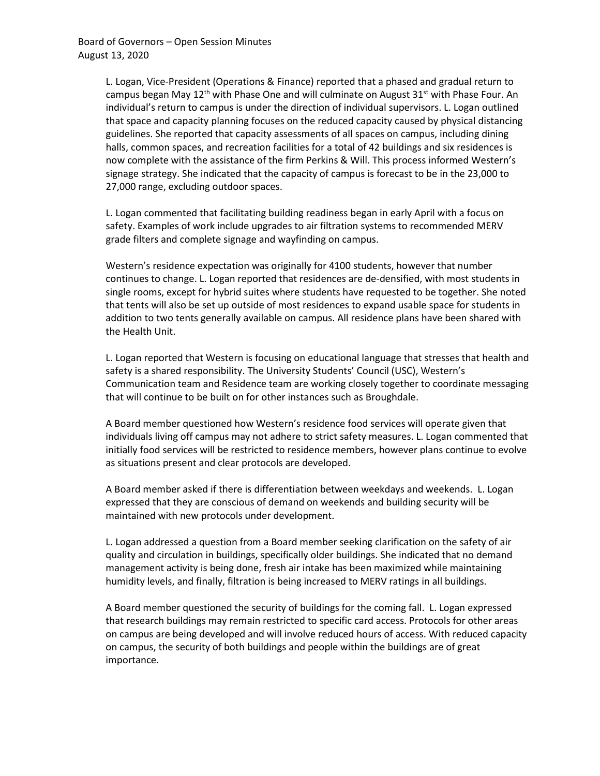L. Logan, Vice-President (Operations & Finance) reported that a phased and gradual return to campus began May  $12<sup>th</sup>$  with Phase One and will culminate on August 31<sup>st</sup> with Phase Four. An individual's return to campus is under the direction of individual supervisors. L. Logan outlined that space and capacity planning focuses on the reduced capacity caused by physical distancing guidelines. She reported that capacity assessments of all spaces on campus, including dining halls, common spaces, and recreation facilities for a total of 42 buildings and six residences is now complete with the assistance of the firm Perkins & Will. This process informed Western's signage strategy. She indicated that the capacity of campus is forecast to be in the 23,000 to 27,000 range, excluding outdoor spaces.

L. Logan commented that facilitating building readiness began in early April with a focus on safety. Examples of work include upgrades to air filtration systems to recommended MERV grade filters and complete signage and wayfinding on campus.

Western's residence expectation was originally for 4100 students, however that number continues to change. L. Logan reported that residences are de-densified, with most students in single rooms, except for hybrid suites where students have requested to be together. She noted that tents will also be set up outside of most residences to expand usable space for students in addition to two tents generally available on campus. All residence plans have been shared with the Health Unit.

L. Logan reported that Western is focusing on educational language that stresses that health and safety is a shared responsibility. The University Students' Council (USC), Western's Communication team and Residence team are working closely together to coordinate messaging that will continue to be built on for other instances such as Broughdale.

A Board member questioned how Western's residence food services will operate given that individuals living off campus may not adhere to strict safety measures. L. Logan commented that initially food services will be restricted to residence members, however plans continue to evolve as situations present and clear protocols are developed.

A Board member asked if there is differentiation between weekdays and weekends. L. Logan expressed that they are conscious of demand on weekends and building security will be maintained with new protocols under development.

L. Logan addressed a question from a Board member seeking clarification on the safety of air quality and circulation in buildings, specifically older buildings. She indicated that no demand management activity is being done, fresh air intake has been maximized while maintaining humidity levels, and finally, filtration is being increased to MERV ratings in all buildings.

A Board member questioned the security of buildings for the coming fall. L. Logan expressed that research buildings may remain restricted to specific card access. Protocols for other areas on campus are being developed and will involve reduced hours of access. With reduced capacity on campus, the security of both buildings and people within the buildings are of great importance.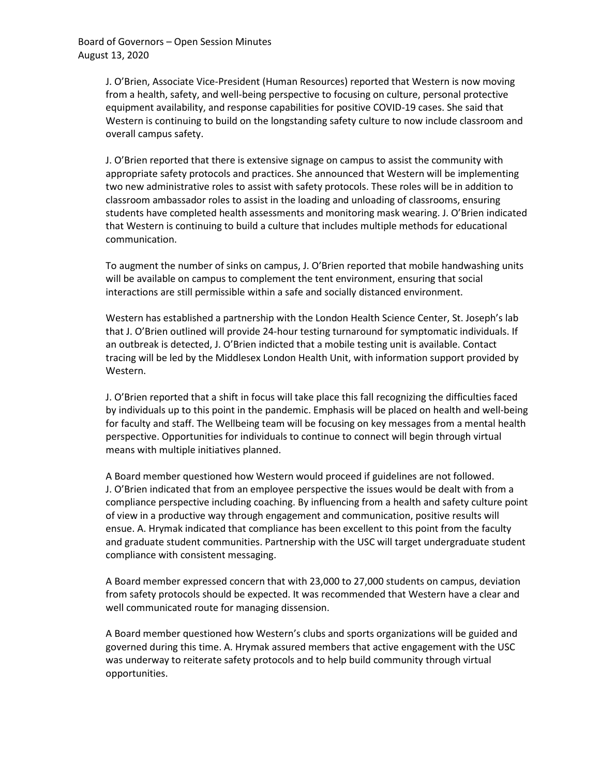J. O'Brien, Associate Vice-President (Human Resources) reported that Western is now moving from a health, safety, and well-being perspective to focusing on culture, personal protective equipment availability, and response capabilities for positive COVID-19 cases. She said that Western is continuing to build on the longstanding safety culture to now include classroom and overall campus safety.

J. O'Brien reported that there is extensive signage on campus to assist the community with appropriate safety protocols and practices. She announced that Western will be implementing two new administrative roles to assist with safety protocols. These roles will be in addition to classroom ambassador roles to assist in the loading and unloading of classrooms, ensuring students have completed health assessments and monitoring mask wearing. J. O'Brien indicated that Western is continuing to build a culture that includes multiple methods for educational communication.

To augment the number of sinks on campus, J. O'Brien reported that mobile handwashing units will be available on campus to complement the tent environment, ensuring that social interactions are still permissible within a safe and socially distanced environment.

Western has established a partnership with the London Health Science Center, St. Joseph's lab that J. O'Brien outlined will provide 24-hour testing turnaround for symptomatic individuals. If an outbreak is detected, J. O'Brien indicted that a mobile testing unit is available. Contact tracing will be led by the Middlesex London Health Unit, with information support provided by Western.

J. O'Brien reported that a shift in focus will take place this fall recognizing the difficulties faced by individuals up to this point in the pandemic. Emphasis will be placed on health and well-being for faculty and staff. The Wellbeing team will be focusing on key messages from a mental health perspective. Opportunities for individuals to continue to connect will begin through virtual means with multiple initiatives planned.

A Board member questioned how Western would proceed if guidelines are not followed. J. O'Brien indicated that from an employee perspective the issues would be dealt with from a compliance perspective including coaching. By influencing from a health and safety culture point of view in a productive way through engagement and communication, positive results will ensue. A. Hrymak indicated that compliance has been excellent to this point from the faculty and graduate student communities. Partnership with the USC will target undergraduate student compliance with consistent messaging.

A Board member expressed concern that with 23,000 to 27,000 students on campus, deviation from safety protocols should be expected. It was recommended that Western have a clear and well communicated route for managing dissension.

A Board member questioned how Western's clubs and sports organizations will be guided and governed during this time. A. Hrymak assured members that active engagement with the USC was underway to reiterate safety protocols and to help build community through virtual opportunities.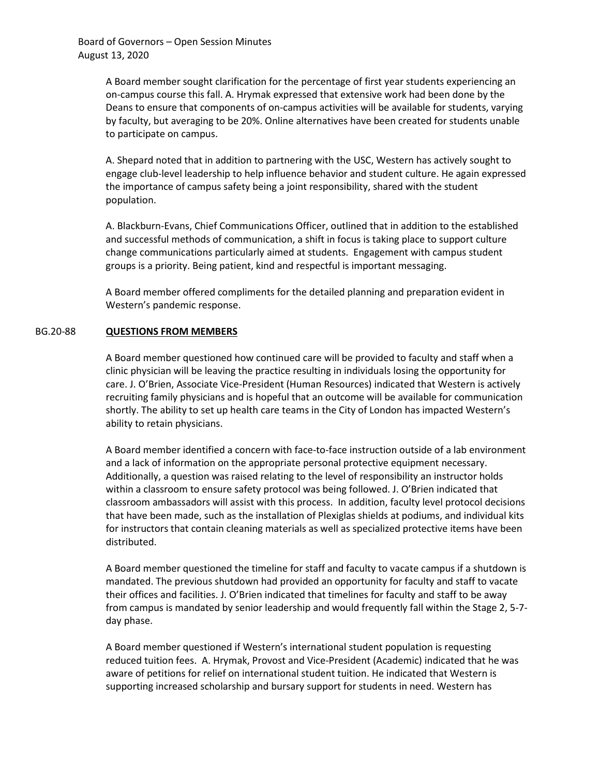A Board member sought clarification for the percentage of first year students experiencing an on-campus course this fall. A. Hrymak expressed that extensive work had been done by the Deans to ensure that components of on-campus activities will be available for students, varying by faculty, but averaging to be 20%. Online alternatives have been created for students unable to participate on campus.

A. Shepard noted that in addition to partnering with the USC, Western has actively sought to engage club-level leadership to help influence behavior and student culture. He again expressed the importance of campus safety being a joint responsibility, shared with the student population.

A. Blackburn-Evans, Chief Communications Officer, outlined that in addition to the established and successful methods of communication, a shift in focus is taking place to support culture change communications particularly aimed at students. Engagement with campus student groups is a priority. Being patient, kind and respectful is important messaging.

A Board member offered compliments for the detailed planning and preparation evident in Western's pandemic response.

## BG.20-88 **QUESTIONS FROM MEMBERS**

A Board member questioned how continued care will be provided to faculty and staff when a clinic physician will be leaving the practice resulting in individuals losing the opportunity for care. J. O'Brien, Associate Vice-President (Human Resources) indicated that Western is actively recruiting family physicians and is hopeful that an outcome will be available for communication shortly. The ability to set up health care teams in the City of London has impacted Western's ability to retain physicians.

A Board member identified a concern with face-to-face instruction outside of a lab environment and a lack of information on the appropriate personal protective equipment necessary. Additionally, a question was raised relating to the level of responsibility an instructor holds within a classroom to ensure safety protocol was being followed. J. O'Brien indicated that classroom ambassadors will assist with this process. In addition, faculty level protocol decisions that have been made, such as the installation of Plexiglas shields at podiums, and individual kits for instructors that contain cleaning materials as well as specialized protective items have been distributed.

A Board member questioned the timeline for staff and faculty to vacate campus if a shutdown is mandated. The previous shutdown had provided an opportunity for faculty and staff to vacate their offices and facilities. J. O'Brien indicated that timelines for faculty and staff to be away from campus is mandated by senior leadership and would frequently fall within the Stage 2, 5-7 day phase.

A Board member questioned if Western's international student population is requesting reduced tuition fees. A. Hrymak, Provost and Vice-President (Academic) indicated that he was aware of petitions for relief on international student tuition. He indicated that Western is supporting increased scholarship and bursary support for students in need. Western has